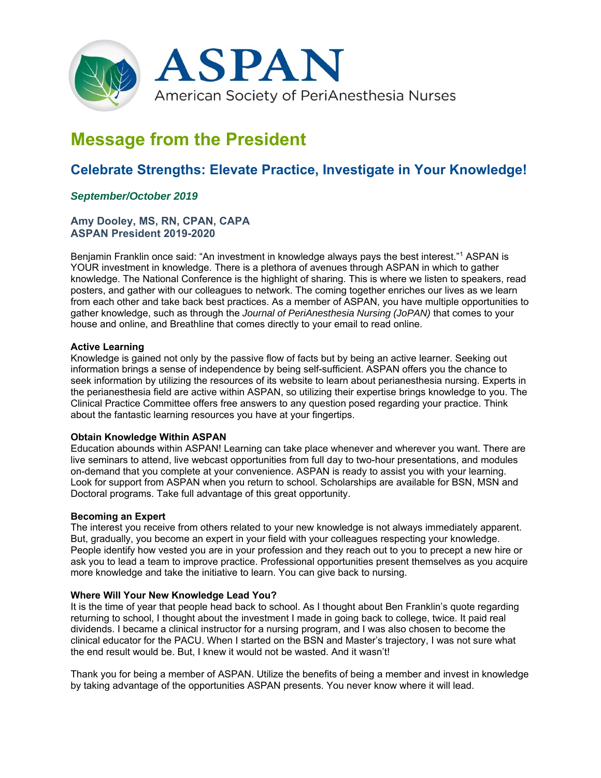

# **Message from the President**

## **Celebrate Strengths: Elevate Practice, Investigate in Your Knowledge!**

### *September/October 2019*

#### **Amy Dooley, MS, RN, CPAN, CAPA ASPAN President 2019-2020**

Benjamin Franklin once said: "An investment in knowledge always pays the best interest."<sup>1</sup> ASPAN is YOUR investment in knowledge. There is a plethora of avenues through ASPAN in which to gather knowledge. The National Conference is the highlight of sharing. This is where we listen to speakers, read posters, and gather with our colleagues to network. The coming together enriches our lives as we learn from each other and take back best practices. As a member of ASPAN, you have multiple opportunities to gather knowledge, such as through the *Journal of PeriAnesthesia Nursing (JoPAN)* that comes to your house and online, and Breathline that comes directly to your email to read online.

#### **Active Learning**

Knowledge is gained not only by the passive flow of facts but by being an active learner. Seeking out information brings a sense of independence by being self-sufficient. ASPAN offers you the chance to seek information by utilizing the resources of its website to learn about perianesthesia nursing. Experts in the perianesthesia field are active within ASPAN, so utilizing their expertise brings knowledge to you. The Clinical Practice Committee offers free answers to any question posed regarding your practice. Think about the fantastic learning resources you have at your fingertips.

#### **Obtain Knowledge Within ASPAN**

Education abounds within ASPAN! Learning can take place whenever and wherever you want. There are live seminars to attend, live webcast opportunities from full day to two-hour presentations, and modules on-demand that you complete at your convenience. ASPAN is ready to assist you with your learning. Look for support from ASPAN when you return to school. Scholarships are available for BSN, MSN and Doctoral programs. Take full advantage of this great opportunity.

#### **Becoming an Expert**

The interest you receive from others related to your new knowledge is not always immediately apparent. But, gradually, you become an expert in your field with your colleagues respecting your knowledge. People identify how vested you are in your profession and they reach out to you to precept a new hire or ask you to lead a team to improve practice. Professional opportunities present themselves as you acquire more knowledge and take the initiative to learn. You can give back to nursing.

#### **Where Will Your New Knowledge Lead You?**

It is the time of year that people head back to school. As I thought about Ben Franklin's quote regarding returning to school, I thought about the investment I made in going back to college, twice. It paid real dividends. I became a clinical instructor for a nursing program, and I was also chosen to become the clinical educator for the PACU. When I started on the BSN and Master's trajectory, I was not sure what the end result would be. But, I knew it would not be wasted. And it wasn't!

Thank you for being a member of ASPAN. Utilize the benefits of being a member and invest in knowledge by taking advantage of the opportunities ASPAN presents. You never know where it will lead.